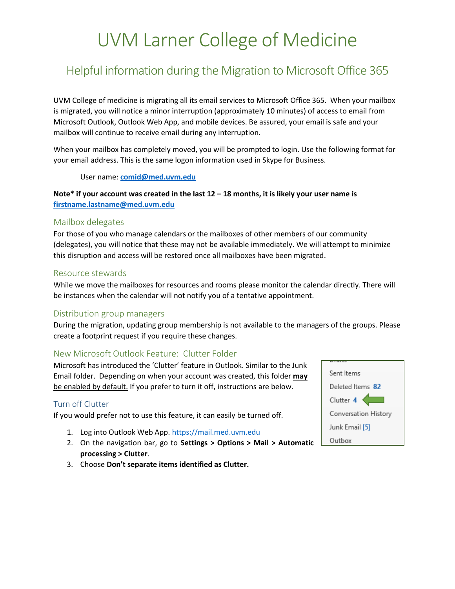# UVM Larner College of Medicine

# Helpful information during the Migration to Microsoft Office 365

UVM College of medicine is migrating all its email services to Microsoft Office 365. When your mailbox is migrated, you will notice a minor interruption (approximately 10 minutes) of access to email from Microsoft Outlook, Outlook Web App, and mobile devices. Be assured, your email is safe and your mailbox will continue to receive email during any interruption.

When your mailbox has completely moved, you will be prompted to login. Use the following format for your email address. This is the same logon information used in Skype for Business.

User name: **[comid@med.uvm.edu](mailto:comid@med.uvm.edu)**

**Note\* if your account was created in the last 12 – 18 months, it is likely your user name is [firstname.lastname@med.uvm.edu](mailto:firstname.lastname@med.uvm.edu)**

#### Mailbox delegates

For those of you who manage calendars or the mailboxes of other members of our community (delegates), you will notice that these may not be available immediately. We will attempt to minimize this disruption and access will be restored once all mailboxes have been migrated.

#### Resource stewards

While we move the mailboxes for resources and rooms please monitor the calendar directly. There will be instances when the calendar will not notify you of a tentative appointment.

#### Distribution group managers

During the migration, updating group membership is not available to the managers of the groups. Please create a footprint request if you require these changes.

## New Microsoft Outlook Feature: Clutter Folder

Microsoft has introduced the 'Clutter' feature in Outlook. Similar to the Junk Email folder. Depending on when your account was created, this folder **may** be enabled by default. If you prefer to turn it off, instructions are below.

## Turn off Clutter

If you would prefer not to use this feature, it can easily be turned off.

- 1. Log into Outlook Web App. [https://mail.med.uvm.edu](https://mail.med.uvm.edu/)
- 2. On the navigation bar, go to **Settings > Options > Mail > Automatic processing > Clutter**.
- 3. Choose **Don't separate items identified as Clutter.**